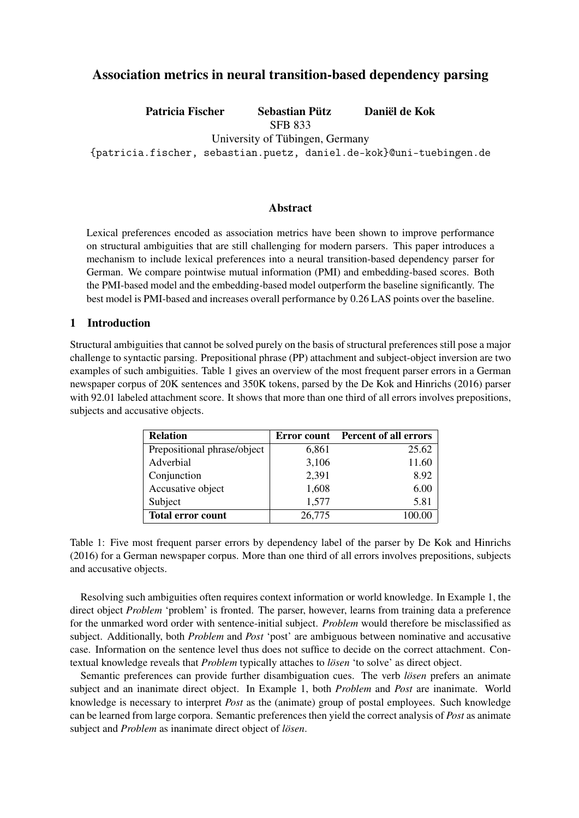# Association metrics in neural transition-based dependency parsing

Patricia Fischer Sebastian Pütz Daniël de Kok

SFB 833

University of Tübingen, Germany

{patricia.fischer, sebastian.puetz, daniel.de-kok}@uni-tuebingen.de

## Abstract

Lexical preferences encoded as association metrics have been shown to improve performance on structural ambiguities that are still challenging for modern parsers. This paper introduces a mechanism to include lexical preferences into a neural transition-based dependency parser for German. We compare pointwise mutual information (PMI) and embedding-based scores. Both the PMI-based model and the embedding-based model outperform the baseline significantly. The best model is PMI-based and increases overall performance by 0.26 LAS points over the baseline.

## 1 Introduction

Structural ambiguities that cannot be solved purely on the basis of structural preferences still pose a major challenge to syntactic parsing. Prepositional phrase (PP) attachment and subject-object inversion are two examples of such ambiguities. Table 1 gives an overview of the most frequent parser errors in a German newspaper corpus of 20K sentences and 350K tokens, parsed by the De Kok and Hinrichs (2016) parser with 92.01 labeled attachment score. It shows that more than one third of all errors involves prepositions, subjects and accusative objects.

| <b>Relation</b>             |        | <b>Error count</b> Percent of all errors |
|-----------------------------|--------|------------------------------------------|
| Prepositional phrase/object | 6,861  | 25.62                                    |
| Adverbial                   | 3,106  | 11.60                                    |
| Conjunction                 | 2,391  | 8.92                                     |
| Accusative object           | 1,608  | 6.00                                     |
| Subject                     | 1,577  | 5.81                                     |
| <b>Total error count</b>    | 26,775 |                                          |

Table 1: Five most frequent parser errors by dependency label of the parser by De Kok and Hinrichs (2016) for a German newspaper corpus. More than one third of all errors involves prepositions, subjects and accusative objects.

Resolving such ambiguities often requires context information or world knowledge. In Example 1, the direct object *Problem* 'problem' is fronted. The parser, however, learns from training data a preference for the unmarked word order with sentence-initial subject. *Problem* would therefore be misclassified as subject. Additionally, both *Problem* and *Post* 'post' are ambiguous between nominative and accusative case. Information on the sentence level thus does not suffice to decide on the correct attachment. Contextual knowledge reveals that *Problem* typically attaches to *lösen* 'to solve' as direct object.

Semantic preferences can provide further disambiguation cues. The verb *lösen* prefers an animate subject and an inanimate direct object. In Example 1, both *Problem* and *Post* are inanimate. World knowledge is necessary to interpret *Post* as the (animate) group of postal employees. Such knowledge can be learned from large corpora. Semantic preferences then yield the correct analysis of *Post* as animate subject and *Problem* as inanimate direct object of *lösen*.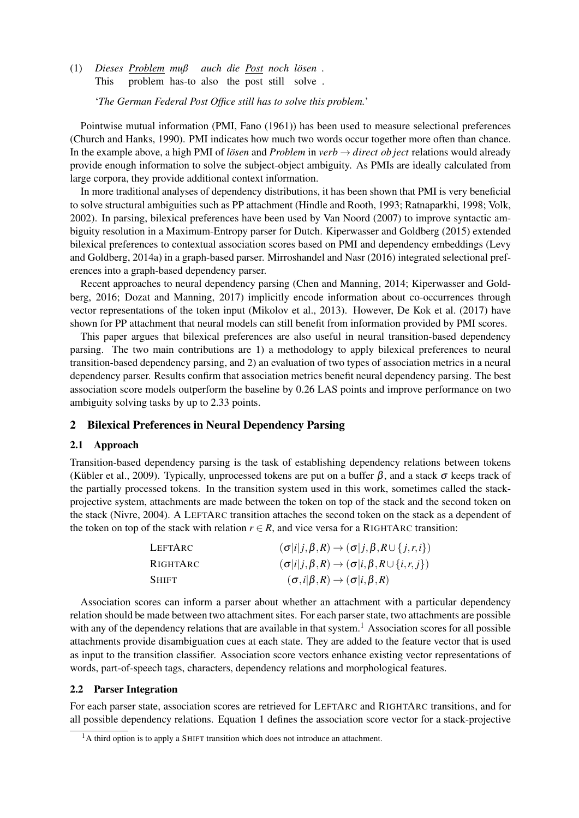(1) *Dieses Problem muß auch die Post noch lösen .* This problem has-to also the post still solve .

'*The German Federal Post Office still has to solve this problem.*'

Pointwise mutual information (PMI, Fano (1961)) has been used to measure selectional preferences (Church and Hanks, 1990). PMI indicates how much two words occur together more often than chance. In the example above, a high PMI of *lösen* and *Problem* in *verb* → *direct ob ject* relations would already provide enough information to solve the subject-object ambiguity. As PMIs are ideally calculated from large corpora, they provide additional context information.

In more traditional analyses of dependency distributions, it has been shown that PMI is very beneficial to solve structural ambiguities such as PP attachment (Hindle and Rooth, 1993; Ratnaparkhi, 1998; Volk, 2002). In parsing, bilexical preferences have been used by Van Noord (2007) to improve syntactic ambiguity resolution in a Maximum-Entropy parser for Dutch. Kiperwasser and Goldberg (2015) extended bilexical preferences to contextual association scores based on PMI and dependency embeddings (Levy and Goldberg, 2014a) in a graph-based parser. Mirroshandel and Nasr (2016) integrated selectional preferences into a graph-based dependency parser.

Recent approaches to neural dependency parsing (Chen and Manning, 2014; Kiperwasser and Goldberg, 2016; Dozat and Manning, 2017) implicitly encode information about co-occurrences through vector representations of the token input (Mikolov et al., 2013). However, De Kok et al. (2017) have shown for PP attachment that neural models can still benefit from information provided by PMI scores.

This paper argues that bilexical preferences are also useful in neural transition-based dependency parsing. The two main contributions are 1) a methodology to apply bilexical preferences to neural transition-based dependency parsing, and 2) an evaluation of two types of association metrics in a neural dependency parser. Results confirm that association metrics benefit neural dependency parsing. The best association score models outperform the baseline by 0.26 LAS points and improve performance on two ambiguity solving tasks by up to 2.33 points.

## 2 Bilexical Preferences in Neural Dependency Parsing

#### 2.1 Approach

Transition-based dependency parsing is the task of establishing dependency relations between tokens (Kübler et al., 2009). Typically, unprocessed tokens are put on a buffer  $\beta$ , and a stack  $\sigma$  keeps track of the partially processed tokens. In the transition system used in this work, sometimes called the stackprojective system, attachments are made between the token on top of the stack and the second token on the stack (Nivre, 2004). A LEFTARC transition attaches the second token on the stack as a dependent of the token on top of the stack with relation  $r \in R$ , and vice versa for a RIGHTARC transition:

| LEFTARC      | $(\sigma i j,\beta,R) \rightarrow (\sigma j,\beta,R \cup \{j,r,i\})$ |
|--------------|----------------------------------------------------------------------|
| RIGHTARC     | $(\sigma i j,\beta,R) \rightarrow (\sigma i,\beta,R \cup \{i,r,j\})$ |
| <b>SHIFT</b> | $(\sigma, i   \beta, R) \rightarrow (\sigma   i, \beta, R)$          |

Association scores can inform a parser about whether an attachment with a particular dependency relation should be made between two attachment sites. For each parser state, two attachments are possible with any of the dependency relations that are available in that system.<sup>1</sup> Association scores for all possible attachments provide disambiguation cues at each state. They are added to the feature vector that is used as input to the transition classifier. Association score vectors enhance existing vector representations of words, part-of-speech tags, characters, dependency relations and morphological features.

#### 2.2 Parser Integration

For each parser state, association scores are retrieved for LEFTARC and RIGHTARC transitions, and for all possible dependency relations. Equation 1 defines the association score vector for a stack-projective

<sup>&</sup>lt;sup>1</sup>A third option is to apply a SHIFT transition which does not introduce an attachment.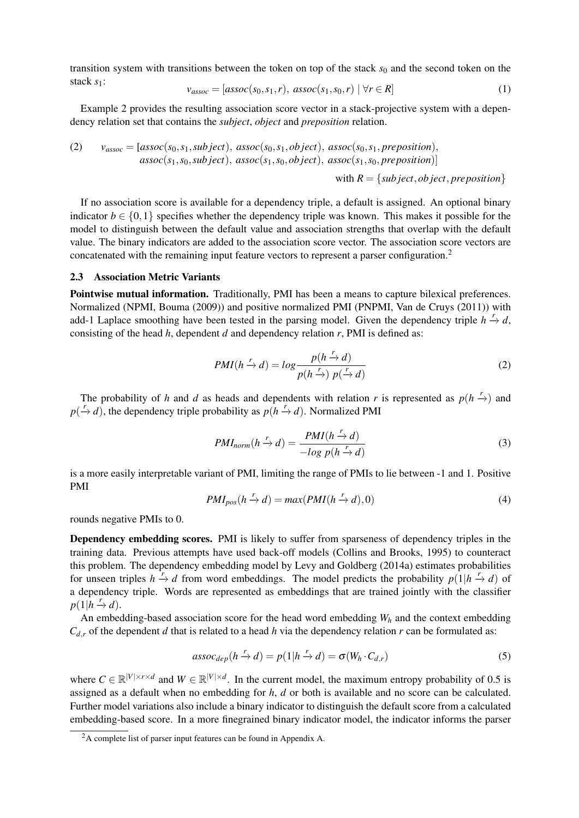transition system with transitions between the token on top of the stack  $s_0$  and the second token on the stack *s*1:

$$
v_{assoc} = [assoc(s_0, s_1, r), assoc(s_1, s_0, r) | \forall r \in R]
$$
\n
$$
(1)
$$

Example 2 provides the resulting association score vector in a stack-projective system with a dependency relation set that contains the *subject*, *object* and *preposition* relation.

(2) 
$$
v_{assoc} = [assoc(s_0, s_1, subject), assoc(s_0, s_1, object), assoc(s_0, s_1, preposition),assoc(s_1, s_0, subject), assoc(s_1, s_0, object), assoc(s_1, s_0, preposition)]
$$

with  $R = \{subject, object, preposition\}$ 

If no association score is available for a dependency triple, a default is assigned. An optional binary indicator  $b \in \{0,1\}$  specifies whether the dependency triple was known. This makes it possible for the model to distinguish between the default value and association strengths that overlap with the default value. The binary indicators are added to the association score vector. The association score vectors are concatenated with the remaining input feature vectors to represent a parser configuration.<sup>2</sup>

#### 2.3 Association Metric Variants

Pointwise mutual information. Traditionally, PMI has been a means to capture bilexical preferences. Normalized (NPMI, Bouma (2009)) and positive normalized PMI (PNPMI, Van de Cruys (2011)) with add-1 Laplace smoothing have been tested in the parsing model. Given the dependency triple  $h \stackrel{r}{\rightarrow} d$ , consisting of the head *h*, dependent *d* and dependency relation *r*, PMI is defined as:

$$
PMI(h \xrightarrow{r} d) = \log \frac{p(h \xrightarrow{r} d)}{p(h \xrightarrow{r}) p(\xrightarrow{r} d)}
$$
(2)

The probability of *h* and *d* as heads and dependents with relation *r* is represented as  $p(h \rightarrow p)$  and  $p(\overrightarrow{r}d)$ , the dependency triple probability as  $p(h \rightarrow d)$ . Normalized PMI

$$
PMI_{norm}(h \xrightarrow{r} d) = \frac{PMI(h \xrightarrow{r} d)}{-log p(h \xrightarrow{r} d)}
$$
(3)

is a more easily interpretable variant of PMI, limiting the range of PMIs to lie between -1 and 1. Positive PMI

$$
PMI_{pos}(h \xrightarrow{r} d) = max(PMI(h \xrightarrow{r} d), 0)
$$
\n(4)

rounds negative PMIs to 0.

Dependency embedding scores. PMI is likely to suffer from sparseness of dependency triples in the training data. Previous attempts have used back-off models (Collins and Brooks, 1995) to counteract this problem. The dependency embedding model by Levy and Goldberg (2014a) estimates probabilities for unseen triples  $h \stackrel{r}{\rightarrow} d$  from word embeddings. The model predicts the probability  $p(1|h \stackrel{r}{\rightarrow} d)$  of a dependency triple. Words are represented as embeddings that are trained jointly with the classifier  $p(1|h \stackrel{r}{\rightarrow} d)$ .

An embedding-based association score for the head word embedding *W<sup>h</sup>* and the context embedding  $C_{d,r}$  of the dependent *d* that is related to a head *h* via the dependency relation *r* can be formulated as:

$$
assoc_{dep}(h \xrightarrow{r} d) = p(1|h \xrightarrow{r} d) = \sigma(W_h \cdot C_{d,r})
$$
\n(5)

where  $C \in \mathbb{R}^{|V| \times r \times d}$  and  $W \in \mathbb{R}^{|V| \times d}$ . In the current model, the maximum entropy probability of 0.5 is assigned as a default when no embedding for *h*, *d* or both is available and no score can be calculated. Further model variations also include a binary indicator to distinguish the default score from a calculated embedding-based score. In a more finegrained binary indicator model, the indicator informs the parser

<sup>2</sup>A complete list of parser input features can be found in Appendix A.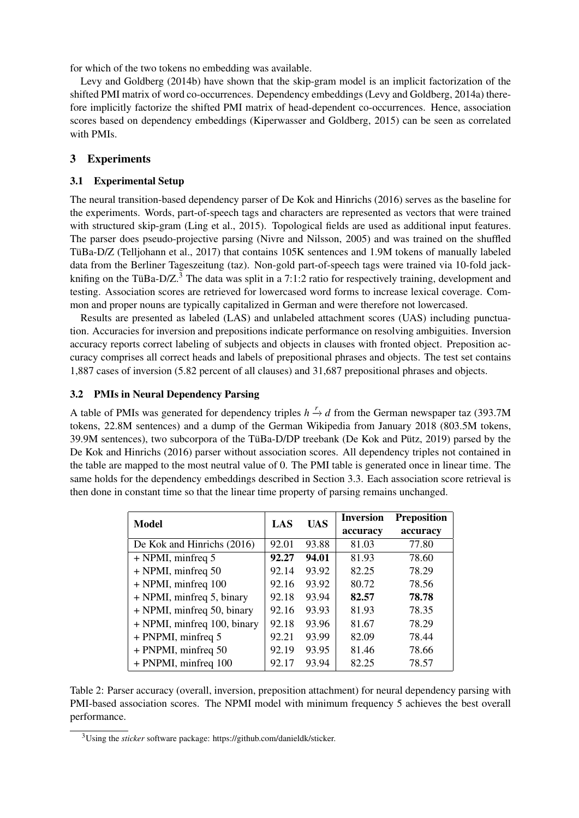for which of the two tokens no embedding was available.

Levy and Goldberg (2014b) have shown that the skip-gram model is an implicit factorization of the shifted PMI matrix of word co-occurrences. Dependency embeddings (Levy and Goldberg, 2014a) therefore implicitly factorize the shifted PMI matrix of head-dependent co-occurrences. Hence, association scores based on dependency embeddings (Kiperwasser and Goldberg, 2015) can be seen as correlated with PMIs.

## 3 Experiments

### 3.1 Experimental Setup

The neural transition-based dependency parser of De Kok and Hinrichs (2016) serves as the baseline for the experiments. Words, part-of-speech tags and characters are represented as vectors that were trained with structured skip-gram (Ling et al., 2015). Topological fields are used as additional input features. The parser does pseudo-projective parsing (Nivre and Nilsson, 2005) and was trained on the shuffled TüBa-D/Z (Telljohann et al., 2017) that contains 105K sentences and 1.9M tokens of manually labeled data from the Berliner Tageszeitung (taz). Non-gold part-of-speech tags were trained via 10-fold jackknifing on the TüBa-D/Z.<sup>3</sup> The data was split in a 7:1:2 ratio for respectively training, development and testing. Association scores are retrieved for lowercased word forms to increase lexical coverage. Common and proper nouns are typically capitalized in German and were therefore not lowercased.

Results are presented as labeled (LAS) and unlabeled attachment scores (UAS) including punctuation. Accuracies for inversion and prepositions indicate performance on resolving ambiguities. Inversion accuracy reports correct labeling of subjects and objects in clauses with fronted object. Preposition accuracy comprises all correct heads and labels of prepositional phrases and objects. The test set contains 1,887 cases of inversion (5.82 percent of all clauses) and 31,687 prepositional phrases and objects.

#### 3.2 PMIs in Neural Dependency Parsing

A table of PMIs was generated for dependency triples *h*  $\stackrel{r}{\rightarrow} d$  from the German newspaper taz (393.7M tokens, 22.8M sentences) and a dump of the German Wikipedia from January 2018 (803.5M tokens, 39.9M sentences), two subcorpora of the TüBa-D/DP treebank (De Kok and Pütz, 2019) parsed by the De Kok and Hinrichs (2016) parser without association scores. All dependency triples not contained in the table are mapped to the most neutral value of 0. The PMI table is generated once in linear time. The same holds for the dependency embeddings described in Section 3.3. Each association score retrieval is then done in constant time so that the linear time property of parsing remains unchanged.

| Model                       | LAS   | <b>UAS</b> | <b>Inversion</b> | <b>Preposition</b> |
|-----------------------------|-------|------------|------------------|--------------------|
|                             |       |            | accuracy         | accuracy           |
| De Kok and Hinrichs (2016)  | 92.01 | 93.88      | 81.03            | 77.80              |
| + NPMI, minfreq 5           | 92.27 | 94.01      | 81.93            | 78.60              |
| + NPMI, minfreq 50          | 92.14 | 93.92      | 82.25            | 78.29              |
| + NPMI, minfreq 100         | 92.16 | 93.92      | 80.72            | 78.56              |
| + NPMI, minfreq 5, binary   | 92.18 | 93.94      | 82.57            | 78.78              |
| + NPMI, minfreq 50, binary  | 92.16 | 93.93      | 81.93            | 78.35              |
| + NPMI, minfreq 100, binary | 92.18 | 93.96      | 81.67            | 78.29              |
| + PNPMI, minfreq 5          | 92.21 | 93.99      | 82.09            | 78.44              |
| + PNPMI, minfreq 50         | 92.19 | 93.95      | 81.46            | 78.66              |
| + PNPMI, minfreq 100        | 92.17 | 93.94      | 82.25            | 78.57              |

Table 2: Parser accuracy (overall, inversion, preposition attachment) for neural dependency parsing with PMI-based association scores. The NPMI model with minimum frequency 5 achieves the best overall performance.

<sup>3</sup>Using the *sticker* software package: https://github.com/danieldk/sticker.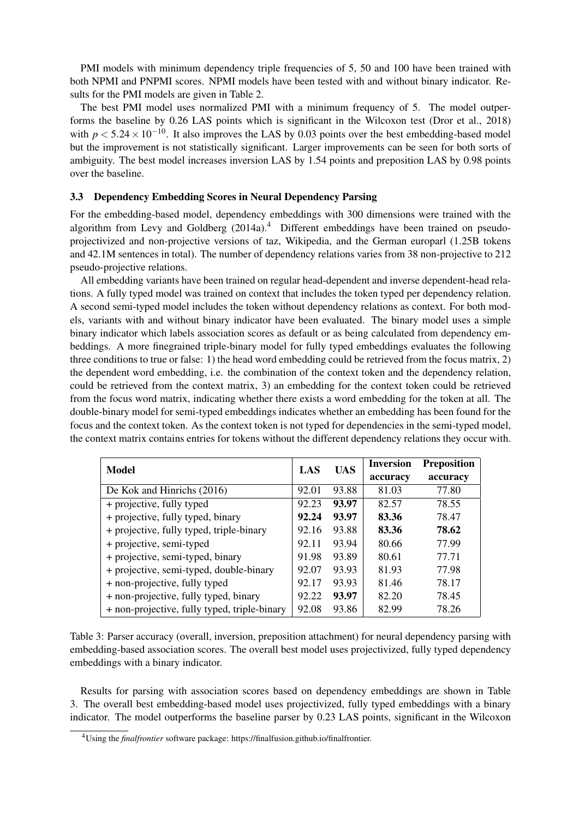PMI models with minimum dependency triple frequencies of 5, 50 and 100 have been trained with both NPMI and PNPMI scores. NPMI models have been tested with and without binary indicator. Results for the PMI models are given in Table 2.

The best PMI model uses normalized PMI with a minimum frequency of 5. The model outperforms the baseline by 0.26 LAS points which is significant in the Wilcoxon test (Dror et al., 2018) with  $p < 5.24 \times 10^{-10}$ . It also improves the LAS by 0.03 points over the best embedding-based model but the improvement is not statistically significant. Larger improvements can be seen for both sorts of ambiguity. The best model increases inversion LAS by 1.54 points and preposition LAS by 0.98 points over the baseline.

### 3.3 Dependency Embedding Scores in Neural Dependency Parsing

For the embedding-based model, dependency embeddings with 300 dimensions were trained with the algorithm from Levy and Goldberg  $(2014a)^4$  Different embeddings have been trained on pseudoprojectivized and non-projective versions of taz, Wikipedia, and the German europarl (1.25B tokens and 42.1M sentences in total). The number of dependency relations varies from 38 non-projective to 212 pseudo-projective relations.

All embedding variants have been trained on regular head-dependent and inverse dependent-head relations. A fully typed model was trained on context that includes the token typed per dependency relation. A second semi-typed model includes the token without dependency relations as context. For both models, variants with and without binary indicator have been evaluated. The binary model uses a simple binary indicator which labels association scores as default or as being calculated from dependency embeddings. A more finegrained triple-binary model for fully typed embeddings evaluates the following three conditions to true or false: 1) the head word embedding could be retrieved from the focus matrix, 2) the dependent word embedding, i.e. the combination of the context token and the dependency relation, could be retrieved from the context matrix, 3) an embedding for the context token could be retrieved from the focus word matrix, indicating whether there exists a word embedding for the token at all. The double-binary model for semi-typed embeddings indicates whether an embedding has been found for the focus and the context token. As the context token is not typed for dependencies in the semi-typed model, the context matrix contains entries for tokens without the different dependency relations they occur with.

| Model                                        | LAS   | <b>UAS</b> | <b>Inversion</b> | <b>Preposition</b> |
|----------------------------------------------|-------|------------|------------------|--------------------|
|                                              |       |            | accuracv         | accuracy           |
| De Kok and Hinrichs (2016)                   | 92.01 | 93.88      | 81.03            | 77.80              |
| + projective, fully typed                    | 92.23 | 93.97      | 82.57            | 78.55              |
| + projective, fully typed, binary            | 92.24 | 93.97      | 83.36            | 78.47              |
| + projective, fully typed, triple-binary     | 92.16 | 93.88      | 83.36            | 78.62              |
| + projective, semi-typed                     | 92.11 | 93.94      | 80.66            | 77.99              |
| + projective, semi-typed, binary             | 91.98 | 93.89      | 80.61            | 77.71              |
| + projective, semi-typed, double-binary      | 92.07 | 93.93      | 81.93            | 77.98              |
| + non-projective, fully typed                | 92.17 | 93.93      | 81.46            | 78.17              |
| + non-projective, fully typed, binary        | 92.22 | 93.97      | 82.20            | 78.45              |
| + non-projective, fully typed, triple-binary | 92.08 | 93.86      | 82.99            | 78.26              |

Table 3: Parser accuracy (overall, inversion, preposition attachment) for neural dependency parsing with embedding-based association scores. The overall best model uses projectivized, fully typed dependency embeddings with a binary indicator.

Results for parsing with association scores based on dependency embeddings are shown in Table 3. The overall best embedding-based model uses projectivized, fully typed embeddings with a binary indicator. The model outperforms the baseline parser by 0.23 LAS points, significant in the Wilcoxon

<sup>4</sup>Using the *finalfrontier* software package: https://finalfusion.github.io/finalfrontier.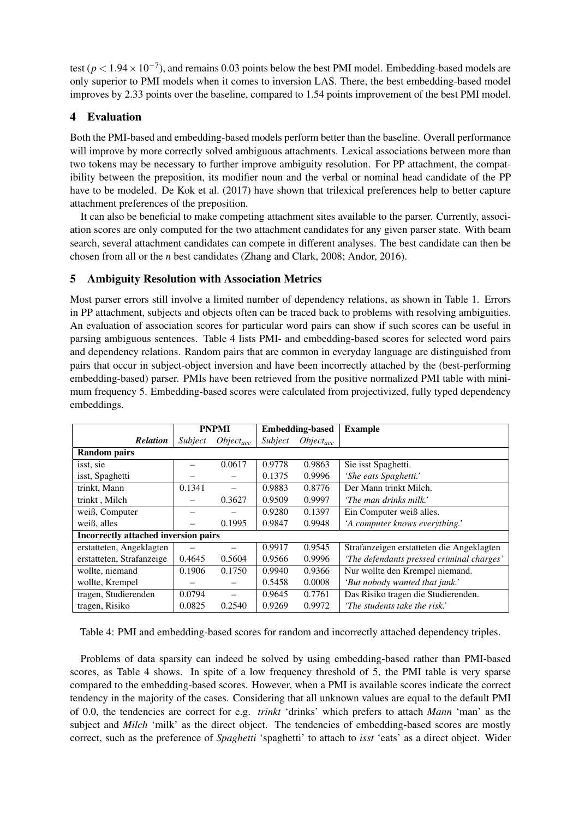test ( $p < 1.94 \times 10^{-7}$ ), and remains 0.03 points below the best PMI model. Embedding-based models are only superior to PMI models when it comes to inversion LAS. There, the best embedding-based model improves by 2.33 points over the baseline, compared to 1.54 points improvement of the best PMI model.

## 4 Evaluation

Both the PMI-based and embedding-based models perform better than the baseline. Overall performance will improve by more correctly solved ambiguous attachments. Lexical associations between more than two tokens may be necessary to further improve ambiguity resolution. For PP attachment, the compatibility between the preposition, its modifier noun and the verbal or nominal head candidate of the PP have to be modeled. De Kok et al. (2017) have shown that trilexical preferences help to better capture attachment preferences of the preposition.

It can also be beneficial to make competing attachment sites available to the parser. Currently, association scores are only computed for the two attachment candidates for any given parser state. With beam search, several attachment candidates can compete in different analyses. The best candidate can then be chosen from all or the *n* best candidates (Zhang and Clark, 2008; Andor, 2016).

## 5 Ambiguity Resolution with Association Metrics

Most parser errors still involve a limited number of dependency relations, as shown in Table 1. Errors in PP attachment, subjects and objects often can be traced back to problems with resolving ambiguities. An evaluation of association scores for particular word pairs can show if such scores can be useful in parsing ambiguous sentences. Table 4 lists PMI- and embedding-based scores for selected word pairs and dependency relations. Random pairs that are common in everyday language are distinguished from pairs that occur in subject-object inversion and have been incorrectly attached by the (best-performing embedding-based) parser. PMIs have been retrieved from the positive normalized PMI table with minimum frequency 5. Embedding-based scores were calculated from projectivized, fully typed dependency embeddings.

|                                      | <b>PNPMI</b> |                | <b>Embedding-based</b> |                | <b>Example</b>                            |
|--------------------------------------|--------------|----------------|------------------------|----------------|-------------------------------------------|
| <b>Relation</b>                      | Subject      | $Object_{acc}$ | Subject                | $Object_{acc}$ |                                           |
| <b>Random pairs</b>                  |              |                |                        |                |                                           |
| isst, sie                            |              | 0.0617         | 0.9778                 | 0.9863         | Sie isst Spaghetti.                       |
| isst, Spaghetti                      |              |                | 0.1375                 | 0.9996         | 'She eats Spaghetti.'                     |
| trinkt, Mann                         | 0.1341       |                | 0.9883                 | 0.8776         | Der Mann trinkt Milch.                    |
| trinkt, Milch                        |              | 0.3627         | 0.9509                 | 0.9997         | 'The man drinks milk.'                    |
| weiß, Computer                       |              |                | 0.9280                 | 0.1397         | Ein Computer weiß alles.                  |
| weiß, alles                          |              | 0.1995         | 0.9847                 | 0.9948         | 'A computer knows everything.'            |
| Incorrectly attached inversion pairs |              |                |                        |                |                                           |
| erstatteten, Angeklagten             |              |                | 0.9917                 | 0.9545         | Strafanzeigen erstatteten die Angeklagten |
| erstatteten, Strafanzeige            | 0.4645       | 0.5604         | 0.9566                 | 0.9996         | 'The defendants pressed criminal charges' |
| wollte, niemand                      | 0.1906       | 0.1750         | 0.9940                 | 0.9366         | Nur wollte den Krempel niemand.           |
| wollte, Krempel                      |              |                | 0.5458                 | 0.0008         | 'But nobody wanted that junk.'            |
| tragen, Studierenden                 | 0.0794       |                | 0.9645                 | 0.7761         | Das Risiko tragen die Studierenden.       |
| tragen, Risiko                       | 0.0825       | 0.2540         | 0.9269                 | 0.9972         | 'The students take the risk.'             |

Table 4: PMI and embedding-based scores for random and incorrectly attached dependency triples.

Problems of data sparsity can indeed be solved by using embedding-based rather than PMI-based scores, as Table 4 shows. In spite of a low frequency threshold of 5, the PMI table is very sparse compared to the embedding-based scores. However, when a PMI is available scores indicate the correct tendency in the majority of the cases. Considering that all unknown values are equal to the default PMI of 0.0, the tendencies are correct for e.g. *trinkt* 'drinks' which prefers to attach *Mann* 'man' as the subject and *Milch* 'milk' as the direct object. The tendencies of embedding-based scores are mostly correct, such as the preference of *Spaghetti* 'spaghetti' to attach to *isst* 'eats' as a direct object. Wider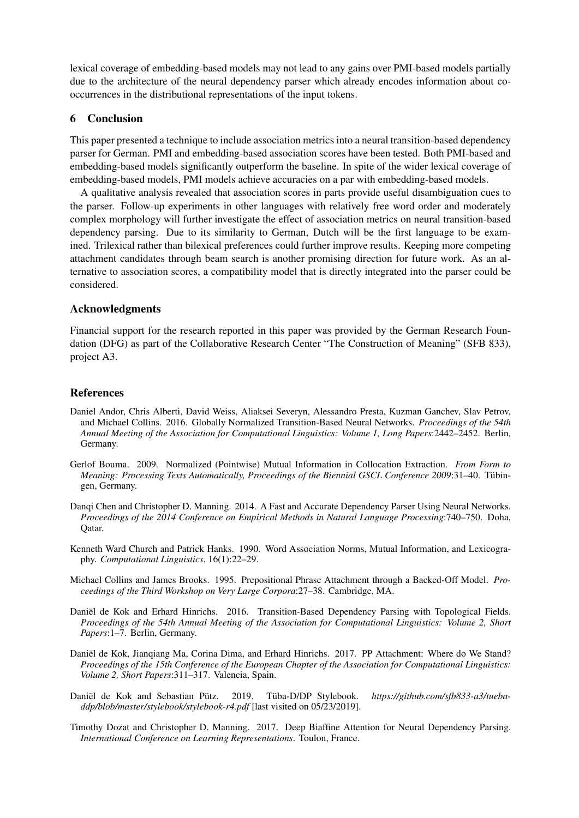lexical coverage of embedding-based models may not lead to any gains over PMI-based models partially due to the architecture of the neural dependency parser which already encodes information about cooccurrences in the distributional representations of the input tokens.

## 6 Conclusion

This paper presented a technique to include association metrics into a neural transition-based dependency parser for German. PMI and embedding-based association scores have been tested. Both PMI-based and embedding-based models significantly outperform the baseline. In spite of the wider lexical coverage of embedding-based models, PMI models achieve accuracies on a par with embedding-based models.

A qualitative analysis revealed that association scores in parts provide useful disambiguation cues to the parser. Follow-up experiments in other languages with relatively free word order and moderately complex morphology will further investigate the effect of association metrics on neural transition-based dependency parsing. Due to its similarity to German, Dutch will be the first language to be examined. Trilexical rather than bilexical preferences could further improve results. Keeping more competing attachment candidates through beam search is another promising direction for future work. As an alternative to association scores, a compatibility model that is directly integrated into the parser could be considered.

## Acknowledgments

Financial support for the research reported in this paper was provided by the German Research Foundation (DFG) as part of the Collaborative Research Center "The Construction of Meaning" (SFB 833), project A3.

## **References**

- Daniel Andor, Chris Alberti, David Weiss, Aliaksei Severyn, Alessandro Presta, Kuzman Ganchev, Slav Petrov, and Michael Collins. 2016. Globally Normalized Transition-Based Neural Networks. *Proceedings of the 54th Annual Meeting of the Association for Computational Linguistics: Volume 1, Long Papers*:2442–2452. Berlin, Germany.
- Gerlof Bouma. 2009. Normalized (Pointwise) Mutual Information in Collocation Extraction. *From Form to Meaning: Processing Texts Automatically, Proceedings of the Biennial GSCL Conference 2009*:31–40. Tübingen, Germany.
- Danqi Chen and Christopher D. Manning. 2014. A Fast and Accurate Dependency Parser Using Neural Networks. *Proceedings of the 2014 Conference on Empirical Methods in Natural Language Processing*:740–750. Doha, Qatar.
- Kenneth Ward Church and Patrick Hanks. 1990. Word Association Norms, Mutual Information, and Lexicography. *Computational Linguistics*, 16(1):22–29.
- Michael Collins and James Brooks. 1995. Prepositional Phrase Attachment through a Backed-Off Model. *Proceedings of the Third Workshop on Very Large Corpora*:27–38. Cambridge, MA.
- Daniël de Kok and Erhard Hinrichs. 2016. Transition-Based Dependency Parsing with Topological Fields. *Proceedings of the 54th Annual Meeting of the Association for Computational Linguistics: Volume 2, Short Papers*:1–7. Berlin, Germany.
- Daniël de Kok, Jianqiang Ma, Corina Dima, and Erhard Hinrichs. 2017. PP Attachment: Where do We Stand? *Proceedings of the 15th Conference of the European Chapter of the Association for Computational Linguistics: Volume 2, Short Papers*:311–317. Valencia, Spain.
- Daniël de Kok and Sebastian Pütz. 2019. Tüba-D/DP Stylebook. *https://github.com/sfb833-a3/tuebaddp/blob/master/stylebook/stylebook-r4.pdf* [last visited on 05/23/2019].
- Timothy Dozat and Christopher D. Manning. 2017. Deep Biaffine Attention for Neural Dependency Parsing. *International Conference on Learning Representations*. Toulon, France.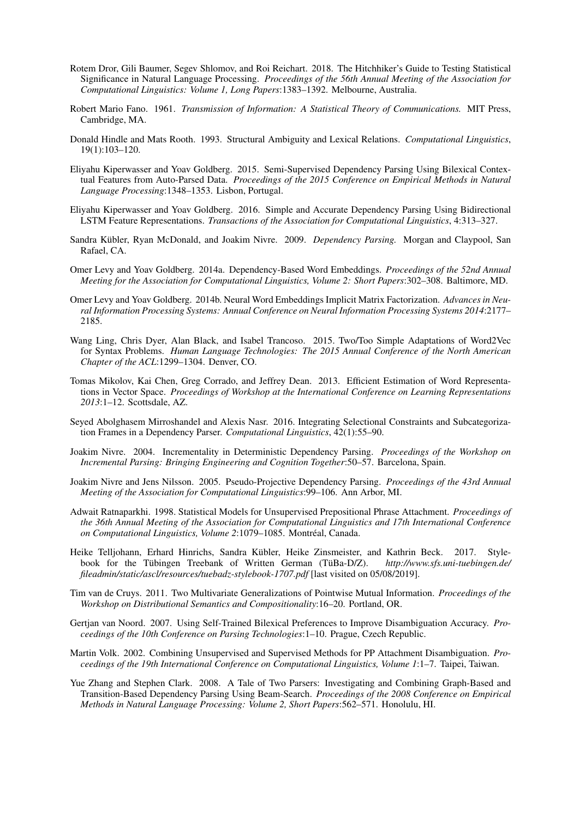- Rotem Dror, Gili Baumer, Segev Shlomov, and Roi Reichart. 2018. The Hitchhiker's Guide to Testing Statistical Significance in Natural Language Processing. *Proceedings of the 56th Annual Meeting of the Association for Computational Linguistics: Volume 1, Long Papers*:1383–1392. Melbourne, Australia.
- Robert Mario Fano. 1961. *Transmission of Information: A Statistical Theory of Communications.* MIT Press, Cambridge, MA.
- Donald Hindle and Mats Rooth. 1993. Structural Ambiguity and Lexical Relations. *Computational Linguistics*, 19(1):103–120.
- Eliyahu Kiperwasser and Yoav Goldberg. 2015. Semi-Supervised Dependency Parsing Using Bilexical Contextual Features from Auto-Parsed Data. *Proceedings of the 2015 Conference on Empirical Methods in Natural Language Processing*:1348–1353. Lisbon, Portugal.
- Eliyahu Kiperwasser and Yoav Goldberg. 2016. Simple and Accurate Dependency Parsing Using Bidirectional LSTM Feature Representations. *Transactions of the Association for Computational Linguistics*, 4:313–327.
- Sandra Kübler, Ryan McDonald, and Joakim Nivre. 2009. *Dependency Parsing.* Morgan and Claypool, San Rafael, CA.
- Omer Levy and Yoav Goldberg. 2014a. Dependency-Based Word Embeddings. *Proceedings of the 52nd Annual Meeting for the Association for Computational Linguistics, Volume 2: Short Papers*:302–308. Baltimore, MD.
- Omer Levy and Yoav Goldberg. 2014b. Neural Word Embeddings Implicit Matrix Factorization. *Advances in Neural Information Processing Systems: Annual Conference on Neural Information Processing Systems 2014*:2177– 2185.
- Wang Ling, Chris Dyer, Alan Black, and Isabel Trancoso. 2015. Two/Too Simple Adaptations of Word2Vec for Syntax Problems. *Human Language Technologies: The 2015 Annual Conference of the North American Chapter of the ACL*:1299–1304. Denver, CO.
- Tomas Mikolov, Kai Chen, Greg Corrado, and Jeffrey Dean. 2013. Efficient Estimation of Word Representations in Vector Space. *Proceedings of Workshop at the International Conference on Learning Representations 2013*:1–12. Scottsdale, AZ.
- Seyed Abolghasem Mirroshandel and Alexis Nasr. 2016. Integrating Selectional Constraints and Subcategorization Frames in a Dependency Parser. *Computational Linguistics*, 42(1):55–90.
- Joakim Nivre. 2004. Incrementality in Deterministic Dependency Parsing. *Proceedings of the Workshop on Incremental Parsing: Bringing Engineering and Cognition Together*:50–57. Barcelona, Spain.
- Joakim Nivre and Jens Nilsson. 2005. Pseudo-Projective Dependency Parsing. *Proceedings of the 43rd Annual Meeting of the Association for Computational Linguistics*:99–106. Ann Arbor, MI.
- Adwait Ratnaparkhi. 1998. Statistical Models for Unsupervised Prepositional Phrase Attachment. *Proceedings of the 36th Annual Meeting of the Association for Computational Linguistics and 17th International Conference on Computational Linguistics, Volume 2*:1079–1085. Montréal, Canada.
- Heike Telljohann, Erhard Hinrichs, Sandra Kübler, Heike Zinsmeister, and Kathrin Beck. 2017. Stylebook for the Tübingen Treebank of Written German (TüBa-D/Z). *http://www.sfs.uni-tuebingen.de/ fileadmin/static/ascl/resources/tuebadz-stylebook-1707.pdf* [last visited on 05/08/2019].
- Tim van de Cruys. 2011. Two Multivariate Generalizations of Pointwise Mutual Information. *Proceedings of the Workshop on Distributional Semantics and Compositionality*:16–20. Portland, OR.
- Gertjan van Noord. 2007. Using Self-Trained Bilexical Preferences to Improve Disambiguation Accuracy. *Proceedings of the 10th Conference on Parsing Technologies*:1–10. Prague, Czech Republic.
- Martin Volk. 2002. Combining Unsupervised and Supervised Methods for PP Attachment Disambiguation. *Proceedings of the 19th International Conference on Computational Linguistics, Volume 1*:1–7. Taipei, Taiwan.
- Yue Zhang and Stephen Clark. 2008. A Tale of Two Parsers: Investigating and Combining Graph-Based and Transition-Based Dependency Parsing Using Beam-Search. *Proceedings of the 2008 Conference on Empirical Methods in Natural Language Processing: Volume 2, Short Papers*:562–571. Honolulu, HI.